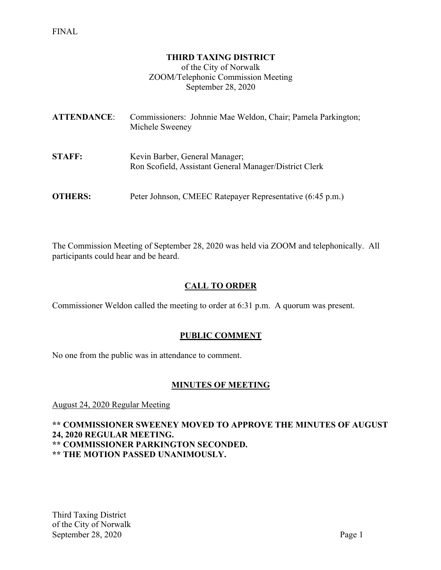#### **THIRD TAXING DISTRICT**

of the City of Norwalk ZOOM/Telephonic Commission Meeting September 28, 2020

| <b>ATTENDANCE:</b> | Commissioners: Johnnie Mae Weldon, Chair; Pamela Parkington;<br>Michele Sweeney          |
|--------------------|------------------------------------------------------------------------------------------|
| <b>STAFF:</b>      | Kevin Barber, General Manager;<br>Ron Scofield, Assistant General Manager/District Clerk |
| <b>OTHERS:</b>     | Peter Johnson, CMEEC Ratepayer Representative (6:45 p.m.)                                |

The Commission Meeting of September 28, 2020 was held via ZOOM and telephonically. All participants could hear and be heard.

#### **CALL TO ORDER**

Commissioner Weldon called the meeting to order at 6:31 p.m. A quorum was present.

#### **PUBLIC COMMENT**

No one from the public was in attendance to comment.

#### **MINUTES OF MEETING**

August 24, 2020 Regular Meeting

**\*\* COMMISSIONER SWEENEY MOVED TO APPROVE THE MINUTES OF AUGUST 24, 2020 REGULAR MEETING. \*\* COMMISSIONER PARKINGTON SECONDED.**

**\*\* THE MOTION PASSED UNANIMOUSLY.**

Third Taxing District of the City of Norwalk September 28, 2020 Page 1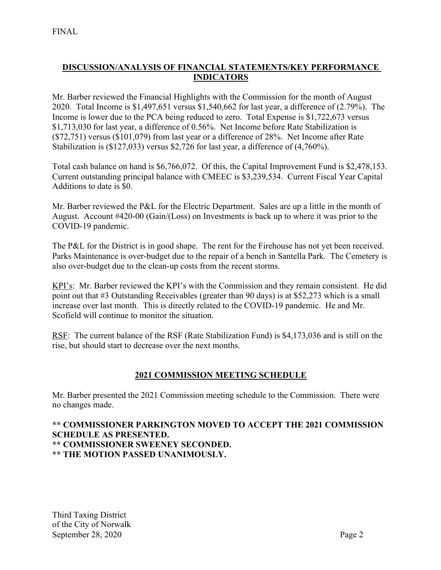## **DISCUSSION/ANALYSIS OF FINANCIAL STATEMENTS/KEY PERFORMANCE INDICATORS**

Mr. Barber reviewed the Financial Highlights with the Commission for the month of August 2020. Total Income is \$1,497,651 versus \$1,540,662 for last year, a difference of (2.79%). The Income is lower due to the PCA being reduced to zero. Total Expense is \$1,722,673 versus \$1,713,030 for last year, a difference of 0.56%. Net Income before Rate Stabilization is (\$72,751) versus (\$101,079) from last year or a difference of 28%. Net Income after Rate Stabilization is (\$127,033) versus \$2,726 for last year, a difference of (4,760%).

Total cash balance on hand is \$6,766,072. Of this, the Capital Improvement Fund is \$2,478,153. Current outstanding principal balance with CMEEC is \$3,239,534. Current Fiscal Year Capital Additions to date is \$0.

Mr. Barber reviewed the P&L for the Electric Department. Sales are up a little in the month of August. Account #420-00 (Gain/(Loss) on Investments is back up to where it was prior to the COVID-19 pandemic.

The P&L for the District is in good shape. The rent for the Firehouse has not yet been received. Parks Maintenance is over-budget due to the repair of a bench in Santella Park. The Cemetery is also over-budget due to the clean-up costs from the recent storms.

KPI's: Mr. Barber reviewed the KPI's with the Commission and they remain consistent. He did point out that #3 Outstanding Receivables (greater than 90 days) is at \$52,273 which is a small increase over last month. This is directly related to the COVID-19 pandemic. He and Mr. Scofield will continue to monitor the situation.

RSF: The current balance of the RSF (Rate Stabilization Fund) is \$4,173,036 and is still on the rise, but should start to decrease over the next months.

## **2021 COMMISSION MEETING SCHEDULE**

Mr. Barber presented the 2021 Commission meeting schedule to the Commission. There were no changes made.

#### **\*\* COMMISSIONER PARKINGTON MOVED TO ACCEPT THE 2021 COMMISSION SCHEDULE AS PRESENTED. \*\* COMMISSIONER SWEENEY SECONDED. \*\* THE MOTION PASSED UNANIMOUSLY.**

Third Taxing District of the City of Norwalk September 28, 2020 Page 2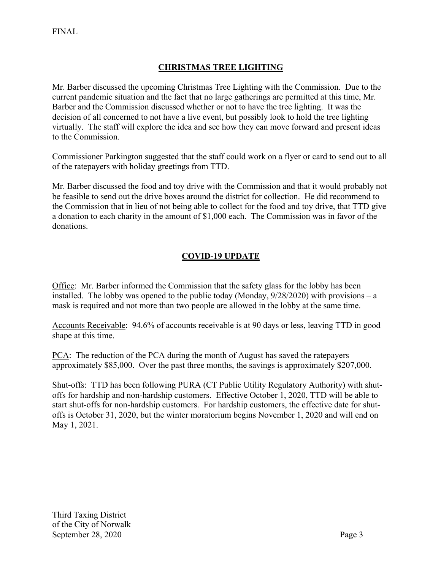# **CHRISTMAS TREE LIGHTING**

Mr. Barber discussed the upcoming Christmas Tree Lighting with the Commission. Due to the current pandemic situation and the fact that no large gatherings are permitted at this time, Mr. Barber and the Commission discussed whether or not to have the tree lighting. It was the decision of all concerned to not have a live event, but possibly look to hold the tree lighting virtually. The staff will explore the idea and see how they can move forward and present ideas to the Commission.

Commissioner Parkington suggested that the staff could work on a flyer or card to send out to all of the ratepayers with holiday greetings from TTD.

Mr. Barber discussed the food and toy drive with the Commission and that it would probably not be feasible to send out the drive boxes around the district for collection. He did recommend to the Commission that in lieu of not being able to collect for the food and toy drive, that TTD give a donation to each charity in the amount of \$1,000 each. The Commission was in favor of the donations.

## **COVID-19 UPDATE**

Office: Mr. Barber informed the Commission that the safety glass for the lobby has been installed. The lobby was opened to the public today (Monday,  $9/28/2020$ ) with provisions – a mask is required and not more than two people are allowed in the lobby at the same time.

Accounts Receivable: 94.6% of accounts receivable is at 90 days or less, leaving TTD in good shape at this time.

PCA: The reduction of the PCA during the month of August has saved the ratepayers approximately \$85,000. Over the past three months, the savings is approximately \$207,000.

Shut-offs: TTD has been following PURA (CT Public Utility Regulatory Authority) with shutoffs for hardship and non-hardship customers. Effective October 1, 2020, TTD will be able to start shut-offs for non-hardship customers. For hardship customers, the effective date for shutoffs is October 31, 2020, but the winter moratorium begins November 1, 2020 and will end on May 1, 2021.